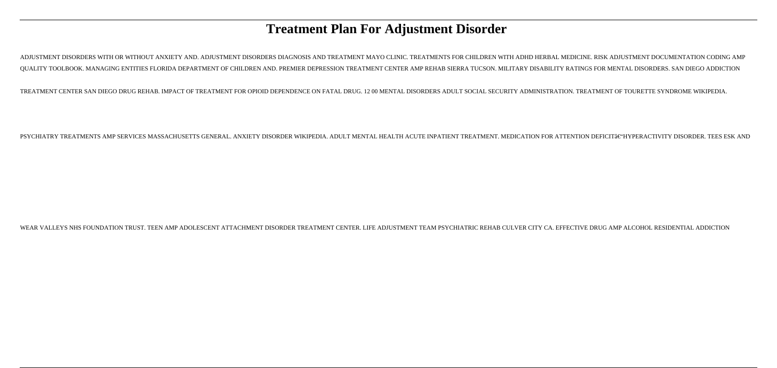# **Treatment Plan For Adjustment Disorder**

ADJUSTMENT DISORDERS WITH OR WITHOUT ANXIETY AND. ADJUSTMENT DISORDERS DIAGNOSIS AND TREATMENT MAYO CLINIC. TREATMENTS FOR CHILDREN WITH ADHD HERBAL MEDICINE. RISK ADJUSTMENT DOCUMENTATION CODING AMP QUALITY TOOLBOOK. MANAGING ENTITIES FLORIDA DEPARTMENT OF CHILDREN AND. PREMIER DEPRESSION TREATMENT CENTER AMP REHAB SIERRA TUCSON. MILITARY DISABILITY RATINGS FOR MENTAL DISORDERS. SAN DIEGO ADDICTION

TREATMENT CENTER SAN DIEGO DRUG REHAB. IMPACT OF TREATMENT FOR OPIOID DEPENDENCE ON FATAL DRUG. 12 00 MENTAL DISORDERS ADULT SOCIAL SECURITY ADMINISTRATION. TREATMENT OF TOURETTE SYNDROME WIKIPEDIA.

PSYCHIATRY TREATMENTS AMP SERVICES MASSACHUSETTS GENERAL. ANXIETY DISORDER WIKIPEDIA. ADULT MENTAL HEALTH ACUTE INPATIENT TREATMENT. MEDICATION FOR ATTENTION DEFICIT–HYPERACTIVITY DISORDER. TEES ESK AND

WEAR VALLEYS NHS FOUNDATION TRUST. TEEN AMP ADOLESCENT ATTACHMENT DISORDER TREATMENT CENTER. LIFE ADJUSTMENT TEAM PSYCHIATRIC REHAB CULVER CITY CA. EFFECTIVE DRUG AMP ALCOHOL RESIDENTIAL ADDICTION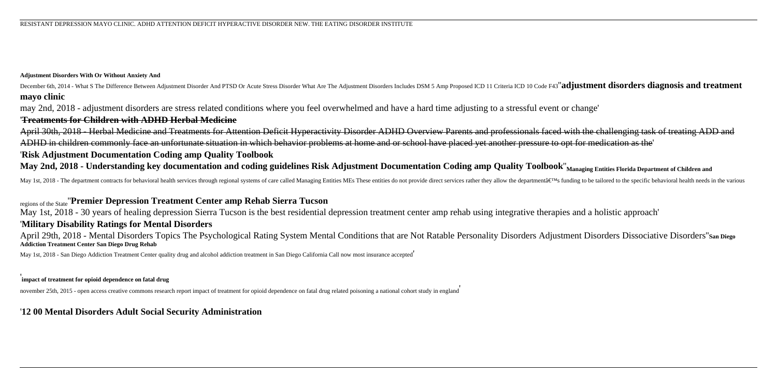#### **Adjustment Disorders With Or Without Anxiety And**

December 6th, 2014 - What S The Difference Between Adjustment Disorder And PTSD Or Acute Stress Disorder What Are The Adjustment Disorders Includes DSM 5 Amp Proposed ICD 11 Criteria ICD 10 Code F43"adjustment disorders di **mayo clinic**

may 2nd, 2018 - adjustment disorders are stress related conditions where you feel overwhelmed and have a hard time adjusting to a stressful event or change'

## '**Treatments for Children with ADHD Herbal Medicine**

April 30th, 2018 - Herbal Medicine and Treatments for Attention Deficit Hyperactivity Disorder ADHD Overview Parents and professionals faced with the challenging task of treating ADD and ADHD in children commonly face an unfortunate situation in which behavior problems at home and or school have placed yet another pressure to opt for medication as the'

## '**Risk Adjustment Documentation Coding amp Quality Toolbook**

**May 2nd, 2018 - Understanding key documentation and coding guidelines Risk Adjustment Documentation Coding amp Quality Toolbook**''**Managing Entities Florida Department of Children and**

May 1st, 2018 - The department contracts for behavioral health services through regional systems of care called Managing Entities MEs These entities do not provide direct services rather they allow the department's fund

### regions of the State''**Premier Depression Treatment Center amp Rehab Sierra Tucson**

May 1st, 2018 - 30 years of healing depression Sierra Tucson is the best residential depression treatment center amp rehab using integrative therapies and a holistic approach'

#### '**Military Disability Ratings for Mental Disorders**

April 29th, 2018 - Mental Disorders Topics The Psychological Rating System Mental Conditions that are Not Ratable Personality Disorders Adjustment Disorders Dissociative Disorders''**San Diego Addiction Treatment Center San Diego Drug Rehab**

May 1st, 2018 - San Diego Addiction Treatment Center quality drug and alcohol addiction treatment in San Diego California Call now most insurance accepted'

## ' **impact of treatment for opioid dependence on fatal drug**

november 25th, 2015 - open access creative commons research report impact of treatment for opioid dependence on fatal drug related poisoning a national cohort study in england

### '**12 00 Mental Disorders Adult Social Security Administration**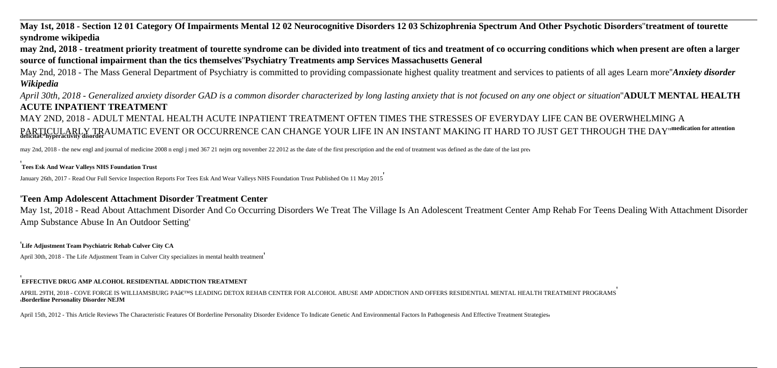## **May 1st, 2018 - Section 12 01 Category Of Impairments Mental 12 02 Neurocognitive Disorders 12 03 Schizophrenia Spectrum And Other Psychotic Disorders**''**treatment of tourette syndrome wikipedia**

**may 2nd, 2018 - treatment priority treatment of tourette syndrome can be divided into treatment of tics and treatment of co occurring conditions which when present are often a larger source of functional impairment than the tics themselves**''**Psychiatry Treatments amp Services Massachusetts General**

May 2nd, 2018 - The Mass General Department of Psychiatry is committed to providing compassionate highest quality treatment and services to patients of all ages Learn more''*Anxiety disorder Wikipedia*

*April 30th, 2018 - Generalized anxiety disorder GAD is a common disorder characterized by long lasting anxiety that is not focused on any one object or situation*''**ADULT MENTAL HEALTH ACUTE INPATIENT TREATMENT**

MAY 2ND, 2018 - ADULT MENTAL HEALTH ACUTE INPATIENT TREATMENT OFTEN TIMES THE STRESSES OF EVERYDAY LIFE CAN BE OVERWHELMING A PARTICULARLY TRAUMATIC EVENT OR OCCURRENCE CAN CHANGE YOUR LIFE IN AN INSTANT MAKING IT HARD TO JUST GET THROUGH THE DAY''<sup>medication for attention</sup><br>deficita€™hyperactivity disorder

may 2nd, 2018 - the new engl and journal of medicine 2008 n engl j med 367 21 nejm org november 22 2012 as the date of the first prescription and the end of treatment was defined as the date of the last pre-

#### '**Tees Esk And Wear Valleys NHS Foundation Trust**

January 26th, 2017 - Read Our Full Service Inspection Reports For Tees Esk And Wear Valleys NHS Foundation Trust Published On 11 May 2015'

## '**Teen Amp Adolescent Attachment Disorder Treatment Center**

May 1st, 2018 - Read About Attachment Disorder And Co Occurring Disorders We Treat The Village Is An Adolescent Treatment Center Amp Rehab For Teens Dealing With Attachment Disorder Amp Substance Abuse In An Outdoor Setting'

#### '**Life Adjustment Team Psychiatric Rehab Culver City CA**

April 30th, 2018 - The Life Adjustment Team in Culver City specializes in mental health treatment'

#### '**EFFECTIVE DRUG AMP ALCOHOL RESIDENTIAL ADDICTION TREATMENT**

APRIL 29TH. 2018 - COVE FORGE IS WILLIAMSBURG PA'S LEADING DETOX REHAB CENTER FOR ALCOHOL ABUSE AMP ADDICTION AND OFFERS RESIDENTIAL MENTAL HEALTH TREATMENT PROGRAMS '**Borderline Personality Disorder NEJM**

April 15th, 2012 - This Article Reviews The Characteristic Features Of Borderline Personality Disorder Evidence To Indicate Genetic And Environmental Factors In Pathogenesis And Effective Treatment Strategies,